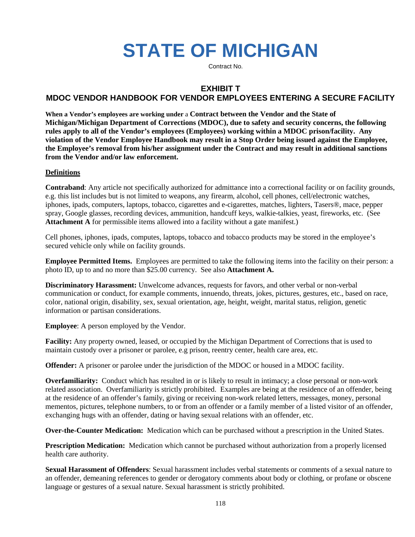# **STATE OF MICHIGAN**

Contract No.

# **EXHIBIT T**

# **MDOC VENDOR HANDBOOK FOR VENDOR EMPLOYEES ENTERING A SECURE FACILITY**

**When a Vendor's employees are working under** a **Contract between the Vendor and the State of Michigan/Michigan Department of Corrections (MDOC), due to safety and security concerns, the following rules apply to all of the Vendor's employees (Employees) working within a MDOC prison/facility. Any violation of the Vendor Employee Handbook may result in a Stop Order being issued against the Employee, the Employee's removal from his/her assignment under the Contract and may result in additional sanctions from the Vendor and/or law enforcement.**

# **Definitions**

**Contraband**: Any article not specifically authorized for admittance into a correctional facility or on facility grounds, e.g. this list includes but is not limited to weapons, any firearm, alcohol, cell phones, cell/electronic watches, iphones, ipads, computers, laptops, tobacco, cigarettes and e-cigarettes, matches, lighters, Tasers®, mace, pepper spray, Google glasses, recording devices, ammunition, handcuff keys, walkie-talkies, yeast, fireworks, etc. (See Attachment A for permissible items allowed into a facility without a gate manifest.)

Cell phones, iphones, ipads, computes, laptops, tobacco and tobacco products may be stored in the employee's secured vehicle only while on facility grounds.

**Employee Permitted Items.** Employees are permitted to take the following items into the facility on their person: a photo ID, up to and no more than \$25.00 currency. See also **Attachment A.**

**Discriminatory Harassment:** Unwelcome advances, requests for favors, and other verbal or non-verbal communication or conduct, for example comments, innuendo, threats, jokes, pictures, gestures, etc., based on race, color, national origin, disability, sex, sexual orientation, age, height, weight, marital status, religion, genetic information or partisan considerations.

**Employee**: A person employed by the Vendor.

**Facility:** Any property owned, leased, or occupied by the Michigan Department of Corrections that is used to maintain custody over a prisoner or parolee, e.g prison, reentry center, health care area, etc.

**Offender:** A prisoner or parolee under the jurisdiction of the MDOC or housed in a MDOC facility.

**Overfamiliarity:** Conduct which has resulted in or is likely to result in intimacy; a close personal or non-work related association. Overfamiliarity is strictly prohibited. Examples are being at the residence of an offender, being at the residence of an offender's family, giving or receiving non-work related letters, messages, money, personal mementos, pictures, telephone numbers, to or from an offender or a family member of a listed visitor of an offender, exchanging hugs with an offender, dating or having sexual relations with an offender, etc.

**Over-the-Counter Medication:** Medication which can be purchased without a prescription in the United States.

**Prescription Medication:** Medication which cannot be purchased without authorization from a properly licensed health care authority.

**Sexual Harassment of Offenders**: Sexual harassment includes verbal statements or comments of a sexual nature to an offender, demeaning references to gender or derogatory comments about body or clothing, or profane or obscene language or gestures of a sexual nature. Sexual harassment is strictly prohibited.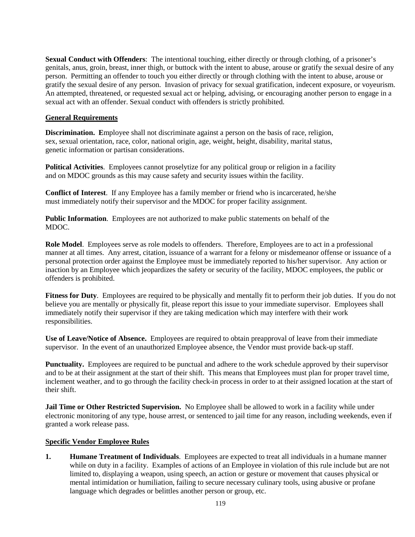**Sexual Conduct with Offenders**: The intentional touching, either directly or through clothing, of a prisoner's genitals, anus, groin, breast, inner thigh, or buttock with the intent to abuse, arouse or gratify the sexual desire of any person. Permitting an offender to touch you either directly or through clothing with the intent to abuse, arouse or gratify the sexual desire of any person. Invasion of privacy for sexual gratification, indecent exposure, or voyeurism. An attempted, threatened, or requested sexual act or helping, advising, or encouraging another person to engage in a sexual act with an offender. Sexual conduct with offenders is strictly prohibited.

# **General Requirements**

**Discrimination. E**mployee shall not discriminate against a person on the basis of race, religion, sex, sexual orientation, race, color, national origin, age, weight, height, disability, marital status, genetic information or partisan considerations.

**Political Activities**. Employees cannot proselytize for any political group or religion in a facility and on MDOC grounds as this may cause safety and security issues within the facility.

**Conflict of Interest**. If any Employee has a family member or friend who is incarcerated, he/she must immediately notify their supervisor and the MDOC for proper facility assignment.

**Public Information**. Employees are not authorized to make public statements on behalf of the MDOC.

**Role Model**. Employees serve as role models to offenders. Therefore, Employees are to act in a professional manner at all times. Any arrest, citation, issuance of a warrant for a felony or misdemeanor offense or issuance of a personal protection order against the Employee must be immediately reported to his/her supervisor. Any action or inaction by an Employee which jeopardizes the safety or security of the facility, MDOC employees, the public or offenders is prohibited.

**Fitness for Duty.** Employees are required to be physically and mentally fit to perform their job duties. If you do not believe you are mentally or physically fit, please report this issue to your immediate supervisor. Employees shall immediately notify their supervisor if they are taking medication which may interfere with their work responsibilities.

**Use of Leave/Notice of Absence.** Employees are required to obtain preapproval of leave from their immediate supervisor. In the event of an unauthorized Employee absence, the Vendor must provide back-up staff.

**Punctuality.** Employees are required to be punctual and adhere to the work schedule approved by their supervisor and to be at their assignment at the start of their shift. This means that Employees must plan for proper travel time, inclement weather, and to go through the facility check-in process in order to at their assigned location at the start of their shift.

**Jail Time or Other Restricted Supervision.** No Employee shall be allowed to work in a facility while under electronic monitoring of any type, house arrest, or sentenced to jail time for any reason, including weekends, even if granted a work release pass.

# **Specific Vendor Employee Rules**

**1. Humane Treatment of Individuals**. Employees are expected to treat all individuals in a humane manner while on duty in a facility. Examples of actions of an Employee in violation of this rule include but are not limited to, displaying a weapon, using speech, an action or gesture or movement that causes physical or mental intimidation or humiliation, failing to secure necessary culinary tools, using abusive or profane language which degrades or belittles another person or group, etc.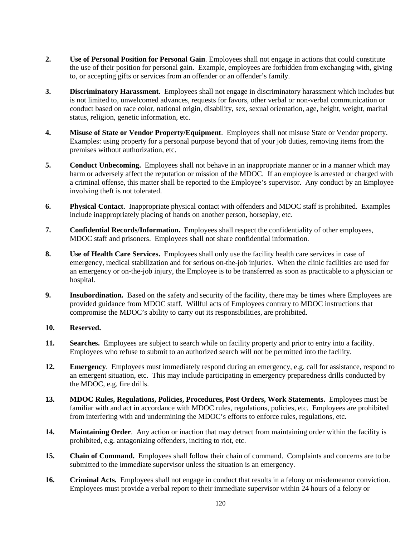- **2. Use of Personal Position for Personal Gain**. Employees shall not engage in actions that could constitute the use of their position for personal gain. Example, employees are forbidden from exchanging with, giving to, or accepting gifts or services from an offender or an offender's family.
- **3. Discriminatory Harassment.** Employees shall not engage in discriminatory harassment which includes but is not limited to, unwelcomed advances, requests for favors, other verbal or non-verbal communication or conduct based on race color, national origin, disability, sex, sexual orientation, age, height, weight, marital status, religion, genetic information, etc.
- **4. Misuse of State or Vendor Property/Equipment**. Employees shall not misuse State or Vendor property. Examples: using property for a personal purpose beyond that of your job duties, removing items from the premises without authorization, etc.
- **5. Conduct Unbecoming.** Employees shall not behave in an inappropriate manner or in a manner which may harm or adversely affect the reputation or mission of the MDOC. If an employee is arrested or charged with a criminal offense, this matter shall be reported to the Employee's supervisor. Any conduct by an Employee involving theft is not tolerated.
- **6. Physical Contact**. Inappropriate physical contact with offenders and MDOC staff is prohibited. Examples include inappropriately placing of hands on another person, horseplay, etc.
- **7. Confidential Records/Information.** Employees shall respect the confidentiality of other employees, MDOC staff and prisoners. Employees shall not share confidential information.
- **8. Use of Health Care Services.** Employees shall only use the facility health care services in case of emergency, medical stabilization and for serious on-the-job injuries. When the clinic facilities are used for an emergency or on-the-job injury, the Employee is to be transferred as soon as practicable to a physician or hospital.
- **9.** Insubordination. Based on the safety and security of the facility, there may be times where Employees are provided guidance from MDOC staff. Willful acts of Employees contrary to MDOC instructions that compromise the MDOC's ability to carry out its responsibilities, are prohibited.

# **10. Reserved.**

- **11. Searches.** Employees are subject to search while on facility property and prior to entry into a facility. Employees who refuse to submit to an authorized search will not be permitted into the facility.
- **12. Emergency**. Employees must immediately respond during an emergency, e.g. call for assistance, respond to an emergent situation, etc. This may include participating in emergency preparedness drills conducted by the MDOC, e.g. fire drills.
- **13. MDOC Rules, Regulations, Policies, Procedures, Post Orders, Work Statements.** Employees must be familiar with and act in accordance with MDOC rules, regulations, policies, etc. Employees are prohibited from interfering with and undermining the MDOC's efforts to enforce rules, regulations, etc.
- **14. Maintaining Order**. Any action or inaction that may detract from maintaining order within the facility is prohibited, e.g. antagonizing offenders, inciting to riot, etc.
- **15. Chain of Command.** Employees shall follow their chain of command. Complaints and concerns are to be submitted to the immediate supervisor unless the situation is an emergency.
- **16. Criminal Acts.** Employees shall not engage in conduct that results in a felony or misdemeanor conviction. Employees must provide a verbal report to their immediate supervisor within 24 hours of a felony or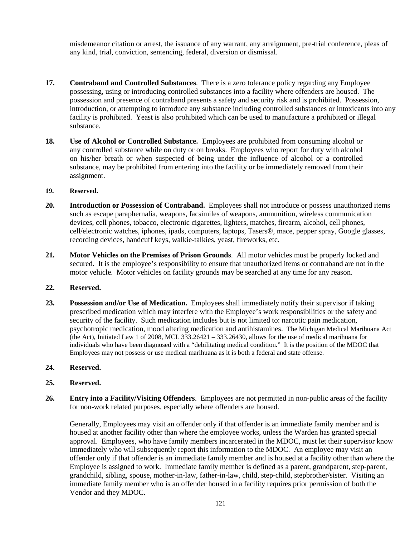misdemeanor citation or arrest, the issuance of any warrant, any arraignment, pre-trial conference, pleas of any kind, trial, conviction, sentencing, federal, diversion or dismissal.

- **17. Contraband and Controlled Substances**. There is a zero tolerance policy regarding any Employee possessing, using or introducing controlled substances into a facility where offenders are housed. The possession and presence of contraband presents a safety and security risk and is prohibited. Possession, introduction, or attempting to introduce any substance including controlled substances or intoxicants into any facility is prohibited. Yeast is also prohibited which can be used to manufacture a prohibited or illegal substance.
- **18. Use of Alcohol or Controlled Substance.** Employees are prohibited from consuming alcohol or any controlled substance while on duty or on breaks. Employees who report for duty with alcohol on his/her breath or when suspected of being under the influence of alcohol or a controlled substance, may be prohibited from entering into the facility or be immediately removed from their assignment.

#### **19. Reserved.**

- **20. Introduction or Possession of Contraband.** Employees shall not introduce or possess unauthorized items such as escape paraphernalia, weapons, facsimiles of weapons, ammunition, wireless communication devices, cell phones, tobacco, electronic cigarettes, lighters, matches, firearm, alcohol, cell phones, cell/electronic watches, iphones, ipads, computers, laptops, Tasers®, mace, pepper spray, Google glasses, recording devices, handcuff keys, walkie-talkies, yeast, fireworks, etc.
- **21. Motor Vehicles on the Premises of Prison Grounds**. All motor vehicles must be properly locked and secured. It is the employee's responsibility to ensure that unauthorized items or contraband are not in the motor vehicle. Motor vehicles on facility grounds may be searched at any time for any reason.

#### **22. Reserved.**

**23. Possession and/or Use of Medication.** Employees shall immediately notify their supervisor if taking prescribed medication which may interfere with the Employee's work responsibilities or the safety and security of the facility. Such medication includes but is not limited to: narcotic pain medication, psychotropic medication, mood altering medication and antihistamines. The Michigan Medical Marihuana Act (the Act), Initiated Law 1 of 2008, MCL 333.26421 – 333.26430, allows for the use of medical marihuana for individuals who have been diagnosed with a "debilitating medical condition." It is the position of the MDOC that Employees may not possess or use medical marihuana as it is both a federal and state offense.

#### **24. Reserved.**

- **25. Reserved.**
- **26. Entry into a Facility/Visiting Offenders**. Employees are not permitted in non-public areas of the facility for non-work related purposes, especially where offenders are housed.

Generally, Employees may visit an offender only if that offender is an immediate family member and is housed at another facility other than where the employee works, unless the Warden has granted special approval. Employees, who have family members incarcerated in the MDOC, must let their supervisor know immediately who will subsequently report this information to the MDOC. An employee may visit an offender only if that offender is an immediate family member and is housed at a facility other than where the Employee is assigned to work. Immediate family member is defined as a parent, grandparent, step-parent, grandchild, sibling, spouse, mother-in-law, father-in-law, child, step-child, stepbrother/sister. Visiting an immediate family member who is an offender housed in a facility requires prior permission of both the Vendor and they MDOC.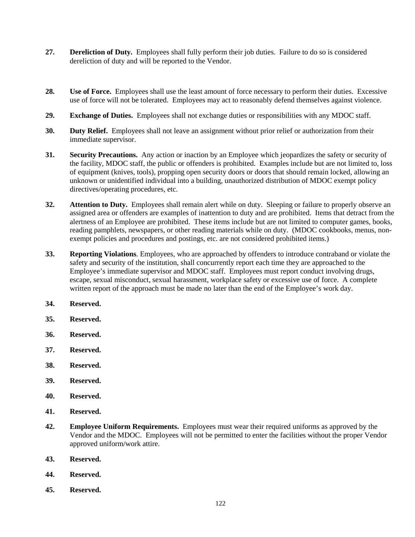- **27. Dereliction of Duty.** Employees shall fully perform their job duties. Failure to do so is considered dereliction of duty and will be reported to the Vendor.
- **28. Use of Force.** Employees shall use the least amount of force necessary to perform their duties. Excessive use of force will not be tolerated. Employees may act to reasonably defend themselves against violence.
- **29. Exchange of Duties.** Employees shall not exchange duties or responsibilities with any MDOC staff.
- **30. Duty Relief.** Employees shall not leave an assignment without prior relief or authorization from their immediate supervisor.
- **31. Security Precautions.** Any action or inaction by an Employee which jeopardizes the safety or security of the facility, MDOC staff, the public or offenders is prohibited. Examples include but are not limited to, loss of equipment (knives, tools), propping open security doors or doors that should remain locked, allowing an unknown or unidentified individual into a building, unauthorized distribution of MDOC exempt policy directives/operating procedures, etc.
- **32. Attention to Duty.** Employees shall remain alert while on duty. Sleeping or failure to properly observe an assigned area or offenders are examples of inattention to duty and are prohibited. Items that detract from the alertness of an Employee are prohibited. These items include but are not limited to computer games, books, reading pamphlets, newspapers, or other reading materials while on duty. (MDOC cookbooks, menus, nonexempt policies and procedures and postings, etc. are not considered prohibited items.)
- **33. Reporting Violations**. Employees, who are approached by offenders to introduce contraband or violate the safety and security of the institution, shall concurrently report each time they are approached to the Employee's immediate supervisor and MDOC staff. Employees must report conduct involving drugs, escape, sexual misconduct, sexual harassment, workplace safety or excessive use of force. A complete written report of the approach must be made no later than the end of the Employee's work day.
- **34. Reserved.**
- **35. Reserved.**
- **36. Reserved.**
- **37. Reserved.**
- **38. Reserved.**
- **39. Reserved.**
- **40. Reserved.**
- **41. Reserved.**
- **42. Employee Uniform Requirements.** Employees must wear their required uniforms as approved by the Vendor and the MDOC. Employees will not be permitted to enter the facilities without the proper Vendor approved uniform/work attire.
- **43. Reserved.**
- **44. Reserved.**
- **45. Reserved.**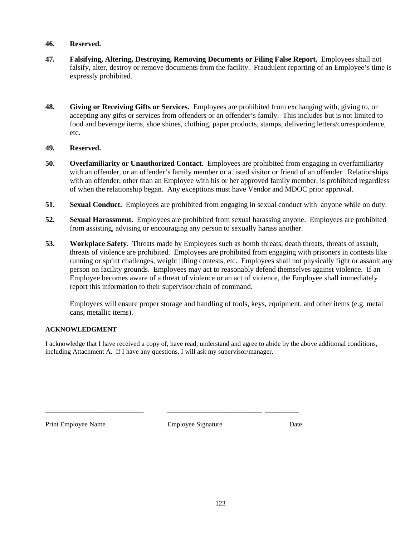# **46. Reserved.**

- **47. Falsifying, Altering, Destroying, Removing Documents or Filing False Report.** Employees shall not falsify, alter, destroy or remove documents from the facility. Fraudulent reporting of an Employee's time is expressly prohibited.
- **48. Giving or Receiving Gifts or Services.** Employees are prohibited from exchanging with, giving to, or accepting any gifts or services from offenders or an offender's family. This includes but is not limited to food and beverage items, shoe shines, clothing, paper products, stamps, delivering letters/correspondence, etc.

#### **49. Reserved.**

- **50. Overfamiliarity or Unauthorized Contact.** Employees are prohibited from engaging in overfamiliarity with an offender, or an offender's family member or a listed visitor or friend of an offender. Relationships with an offender, other than an Employee with his or her approved family member, is prohibited regardless of when the relationship began. Any exceptions must have Vendor and MDOC prior approval.
- **51. Sexual Conduct.** Employees are prohibited from engaging in sexual conduct with anyone while on duty.
- **52. Sexual Harassment.** Employees are prohibited from sexual harassing anyone. Employees are prohibited from assisting, advising or encouraging any person to sexually harass another.
- **53. Workplace Safety**. Threats made by Employees such as bomb threats, death threats, threats of assault, threats of violence are prohibited. Employees are prohibited from engaging with prisoners in contests like running or sprint challenges, weight lifting contests, etc. Employees shall not physically fight or assault any person on facility grounds. Employees may act to reasonably defend themselves against violence. If an Employee becomes aware of a threat of violence or an act of violence, the Employee shall immediately report this information to their supervisor/chain of command.

Employees will ensure proper storage and handling of tools, keys, equipment, and other items (e.g. metal cans, metallic items).

#### **ACKNOWLEDGMENT**

I acknowledge that I have received a copy of, have read, understand and agree to abide by the above additional conditions, including Attachment A. If I have any questions, I will ask my supervisor/manager.

Print Employee Name **Employee Signature** Date

\_\_\_\_\_\_\_\_\_\_\_\_\_\_\_\_\_\_\_\_\_\_\_\_\_\_\_\_\_ \_\_\_\_\_\_\_\_\_\_\_\_\_\_\_\_\_\_\_\_\_\_\_\_\_\_\_\_ \_\_\_\_\_\_\_\_\_\_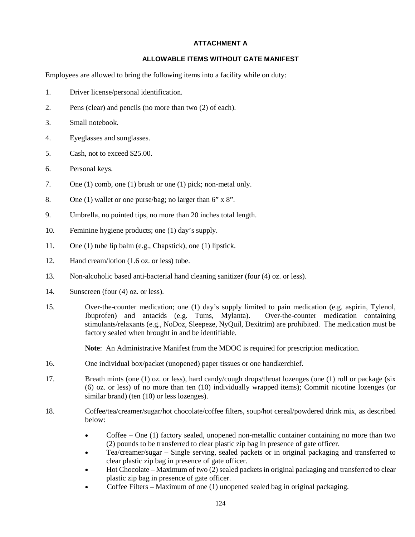# **ATTACHMENT A**

#### **ALLOWABLE ITEMS WITHOUT GATE MANIFEST**

Employees are allowed to bring the following items into a facility while on duty:

- 1. Driver license/personal identification.
- 2. Pens (clear) and pencils (no more than two (2) of each).
- 3. Small notebook.
- 4. Eyeglasses and sunglasses.
- 5. Cash, not to exceed \$25.00.
- 6. Personal keys.
- 7. One (1) comb, one (1) brush or one (1) pick; non-metal only.
- 8. One (1) wallet or one purse/bag; no larger than 6" x 8".
- 9. Umbrella, no pointed tips, no more than 20 inches total length.
- 10. Feminine hygiene products; one (1) day's supply.
- 11. One (1) tube lip balm (e.g., Chapstick), one (1) lipstick.
- 12. Hand cream/lotion (1.6 oz. or less) tube.
- 13. Non-alcoholic based anti-bacterial hand cleaning sanitizer (four (4) oz. or less).
- 14. Sunscreen (four (4) oz. or less).
- 15. Over-the-counter medication; one (1) day's supply limited to pain medication (e.g. aspirin, Tylenol, Ibuprofen) and antacids (e.g. Tums, Mylanta). Over-the-counter medication containing stimulants/relaxants (e.g., NoDoz, Sleepeze, NyQuil, Dexitrim) are prohibited. The medication must be factory sealed when brought in and be identifiable.

**Note**: An Administrative Manifest from the MDOC is required for prescription medication.

- 16. One individual box/packet (unopened) paper tissues or one handkerchief.
- 17. Breath mints (one (1) oz. or less), hard candy/cough drops/throat lozenges (one (1) roll or package (six (6) oz. or less) of no more than ten (10) individually wrapped items); Commit nicotine lozenges (or similar brand) (ten  $(10)$  or less lozenges).
- 18. Coffee/tea/creamer/sugar/hot chocolate/coffee filters, soup/hot cereal/powdered drink mix, as described below:
	- Coffee One (1) factory sealed, unopened non-metallic container containing no more than two (2) pounds to be transferred to clear plastic zip bag in presence of gate officer.
	- Tea/creamer/sugar Single serving, sealed packets or in original packaging and transferred to clear plastic zip bag in presence of gate officer.
	- Hot Chocolate Maximum of two (2) sealed packets in original packaging and transferred to clear plastic zip bag in presence of gate officer.
	- Coffee Filters Maximum of one (1) unopened sealed bag in original packaging.